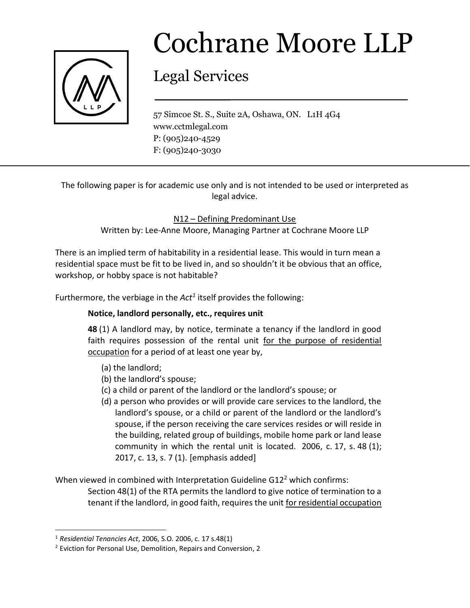

## Cochrane Moore LLP

## Legal Services

57 Simcoe St. S., Suite 2A, Oshawa, ON. L1H 4G4 www.cctmlegal.com P: (905)240-4529 F: (905)240-3030

The following paper is for academic use only and is not intended to be used or interpreted as legal advice.

N12 – Defining Predominant Use

Written by: Lee-Anne Moore, Managing Partner at Cochrane Moore LLP

There is an implied term of habitability in a residential lease. This would in turn mean a residential space must be fit to be lived in, and so shouldn't it be obvious that an office, workshop, or hobby space is not habitable?

Furthermore, the verbiage in the Act<sup>1</sup> itself provides the following:

## **Notice, landlord personally, etc., requires unit**

**48** (1) A landlord may, by notice, terminate a tenancy if the landlord in good faith requires possession of the rental unit for the purpose of residential occupation for a period of at least one year by,

- (a) the landlord;
- (b) the landlord's spouse;
- (c) a child or parent of the landlord or the landlord's spouse; or
- (d) a person who provides or will provide care services to the landlord, the landlord's spouse, or a child or parent of the landlord or the landlord's spouse, if the person receiving the care services resides or will reside in the building, related group of buildings, mobile home park or land lease community in which the rental unit is located. 2006, c. 17, s. 48 (1); 2017, c. 13, s. 7 (1). [emphasis added]

When viewed in combined with Interpretation Guideline G12<sup>2</sup> which confirms:

Section 48(1) of the RTA permits the landlord to give notice of termination to a tenant if the landlord, in good faith, requires the unit for residential occupation

 $\overline{\phantom{a}}$ 

<sup>1</sup> *Residential Tenancies Act*, 2006, S.O. 2006, c. 17 s.48(1)

<sup>2</sup> Eviction for Personal Use, Demolition, Repairs and Conversion, 2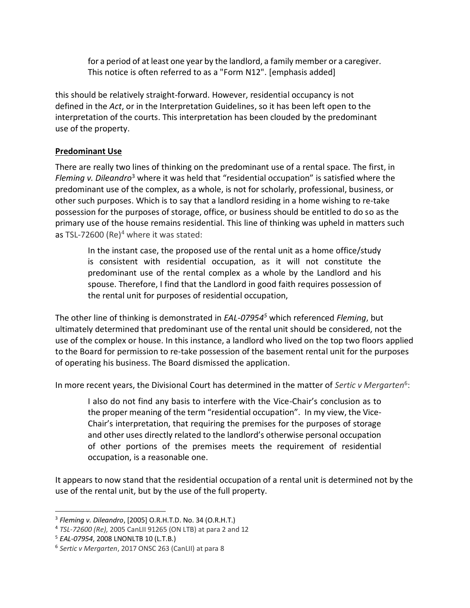for a period of at least one year by the landlord, a family member or a caregiver. This notice is often referred to as a "Form N12". [emphasis added]

this should be relatively straight-forward. However, residential occupancy is not defined in the *Act*, or in the Interpretation Guidelines, so it has been left open to the interpretation of the courts. This interpretation has been clouded by the predominant use of the property.

## **Predominant Use**

There are really two lines of thinking on the predominant use of a rental space. The first, in *Fleming v. Dileandro*<sup>3</sup> where it was held that "residential occupation" is satisfied where the predominant use of the complex, as a whole, is not for scholarly, professional, business, or other such purposes. Which is to say that a landlord residing in a home wishing to re-take possession for the purposes of storage, office, or business should be entitled to do so as the primary use of the house remains residential. This line of thinking was upheld in matters such as TSL-72600 (Re)<sup>4</sup> where it was stated:

In the instant case, the proposed use of the rental unit as a home office/study is consistent with residential occupation, as it will not constitute the predominant use of the rental complex as a whole by the Landlord and his spouse. Therefore, I find that the Landlord in good faith requires possession of the rental unit for purposes of residential occupation,

The other line of thinking is demonstrated in *EAL-07954<sup>5</sup>* which referenced *Fleming*, but ultimately determined that predominant use of the rental unit should be considered, not the use of the complex or house. In this instance, a landlord who lived on the top two floors applied to the Board for permission to re-take possession of the basement rental unit for the purposes of operating his business. The Board dismissed the application.

In more recent years, the Divisional Court has determined in the matter of *Sertic v Mergarten*<sup>6</sup>:

I also do not find any basis to interfere with the Vice-Chair's conclusion as to the proper meaning of the term "residential occupation". In my view, the Vice-Chair's interpretation, that requiring the premises for the purposes of storage and other uses directly related to the landlord's otherwise personal occupation of other portions of the premises meets the requirement of residential occupation, is a reasonable one.

It appears to now stand that the residential occupation of a rental unit is determined not by the use of the rental unit, but by the use of the full property.

 $\overline{a}$ 

<sup>3</sup> *Fleming v. Dileandro*, [2005] O.R.H.T.D. No. 34 (O.R.H.T.)

<sup>4</sup> *TSL-72600 (Re),* 2005 CanLII 91265 (ON LTB) at para 2 and 12

<sup>5</sup> *EAL-07954*, 2008 LNONLTB 10 (L.T.B.)

<sup>6</sup> *Sertic v Mergarten*, 2017 ONSC 263 (CanLII) at para 8